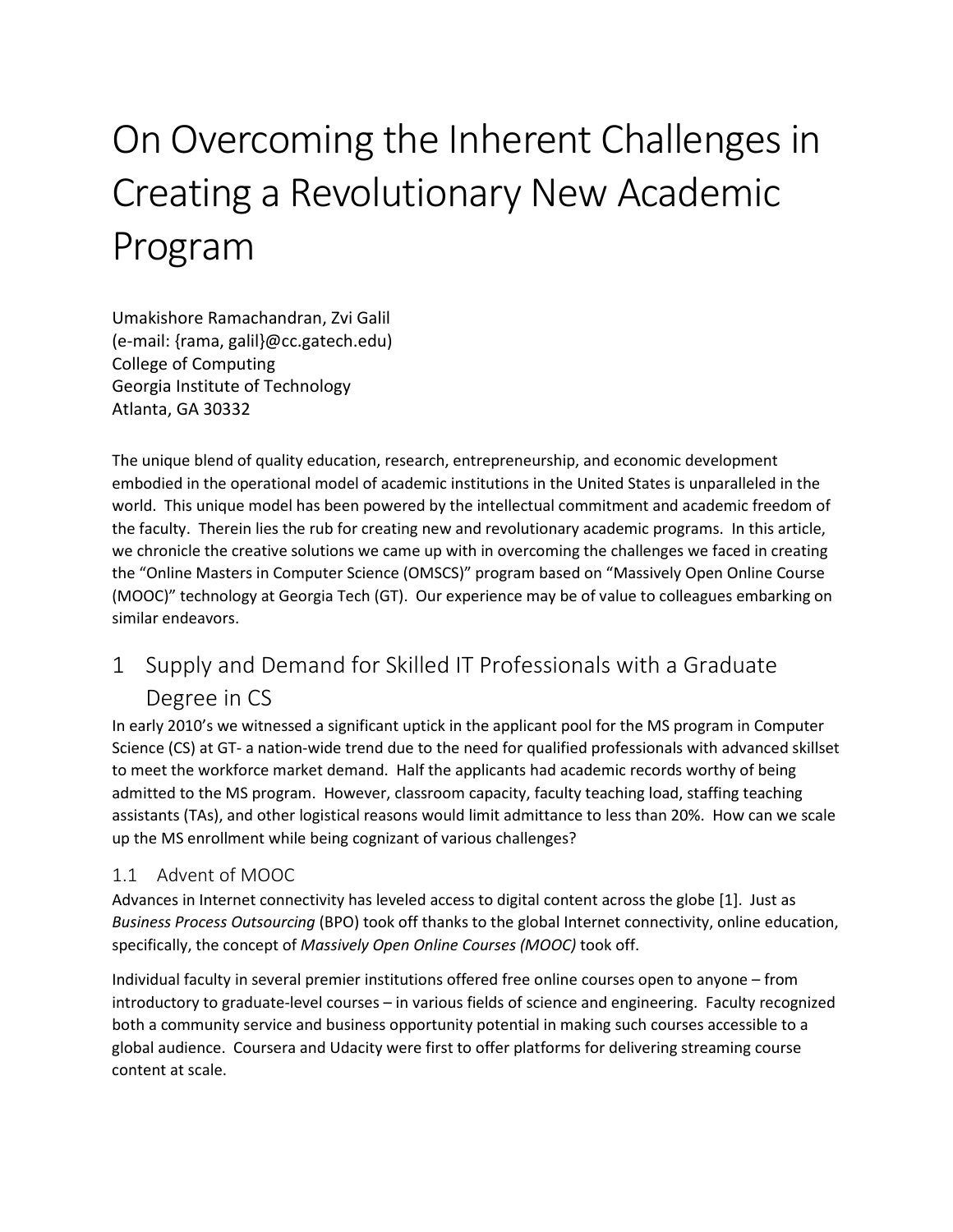# On Overcoming the Inherent Challenges in Creating a Revolutionary New Academic Program

Umakishore Ramachandran, Zvi Galil (e-mail: {rama, galil}@cc.gatech.edu) College of Computing Georgia Institute of Technology Atlanta, GA 30332

The unique blend of quality education, research, entrepreneurship, and economic development embodied in the operational model of academic institutions in the United States is unparalleled in the world. This unique model has been powered by the intellectual commitment and academic freedom of the faculty. Therein lies the rub for creating new and revolutionary academic programs. In this article, we chronicle the creative solutions we came up with in overcoming the challenges we faced in creating the "Online Masters in Computer Science (OMSCS)" program based on "Massively Open Online Course (MOOC)" technology at Georgia Tech (GT). Our experience may be of value to colleagues embarking on similar endeavors.

# 1 Supply and Demand for Skilled IT Professionals with a Graduate Degree in CS

In early 2010's we witnessed a significant uptick in the applicant pool for the MS program in Computer Science (CS) at GT- a nation-wide trend due to the need for qualified professionals with advanced skillset to meet the workforce market demand. Half the applicants had academic records worthy of being admitted to the MS program. However, classroom capacity, faculty teaching load, staffing teaching assistants (TAs), and other logistical reasons would limit admittance to less than 20%. How can we scale up the MS enrollment while being cognizant of various challenges?

# 1.1 Advent of MOOC

Advances in Internet connectivity has leveled access to digital content across the globe [\[1\]](#page-15-0). Just as *Business Process Outsourcing* (BPO) took off thanks to the global Internet connectivity, online education, specifically, the concept of *Massively Open Online Courses (MOOC)* took off.

Individual faculty in several premier institutions offered free online courses open to anyone – from introductory to graduate-level courses – in various fields of science and engineering. Faculty recognized both a community service and business opportunity potential in making such courses accessible to a global audience. Coursera and Udacity were first to offer platforms for delivering streaming course content at scale.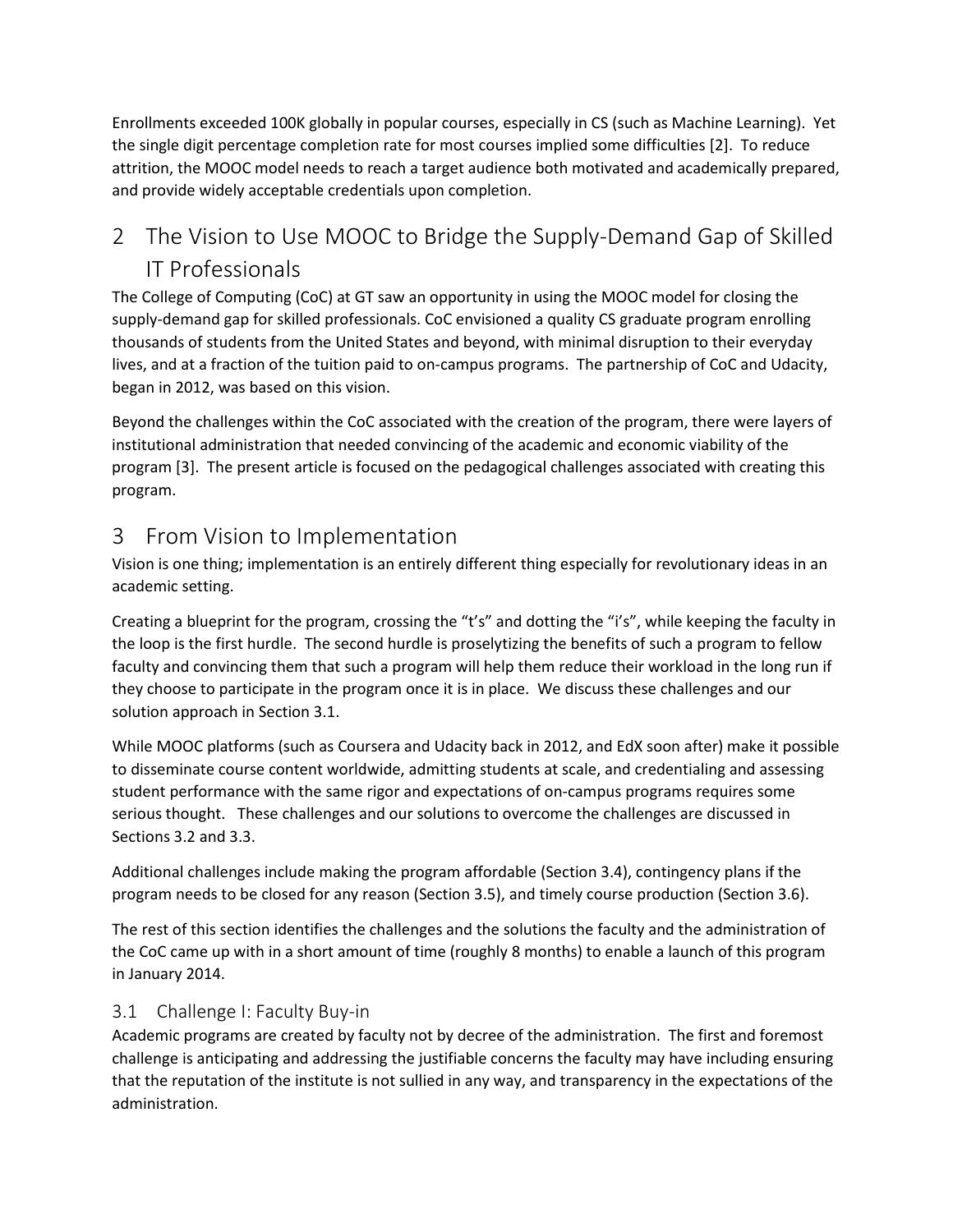Enrollments exceeded 100K globally in popular courses, especially in CS (such as Machine Learning). Yet the single digit percentage completion rate for most courses implied some difficulties [\[2\]](#page-15-1). To reduce attrition, the MOOC model needs to reach a target audience both motivated and academically prepared, and provide widely acceptable credentials upon completion.

# 2 The Vision to Use MOOC to Bridge the Supply-Demand Gap of Skilled IT Professionals

The College of Computing (CoC) at GT saw an opportunity in using the MOOC model for closing the supply-demand gap for skilled professionals. CoC envisioned a quality CS graduate program enrolling thousands of students from the United States and beyond, with minimal disruption to their everyday lives, and at a fraction of the tuition paid to on-campus programs. The partnership of CoC and Udacity, began in 2012, was based on this vision.

Beyond the challenges within the CoC associated with the creation of the program, there were layers of institutional administration that needed convincing of the academic and economic viability of the program [\[3\]](#page-15-2). The present article is focused on the pedagogical challenges associated with creating this program.

# 3 From Vision to Implementation

Vision is one thing; implementation is an entirely different thing especially for revolutionary ideas in an academic setting.

Creating a blueprint for the program, crossing the "t's" and dotting the "i's", while keeping the faculty in the loop is the first hurdle. The second hurdle is proselytizing the benefits of such a program to fellow faculty and convincing them that such a program will help them reduce their workload in the long run if they choose to participate in the program once it is in place. We discuss these challenges and our solution approach in Section [3.1.](#page-1-0)

While MOOC platforms (such as Coursera and Udacity back in 2012, and EdX soon after) make it possible to disseminate course content worldwide, admitting students at scale, and credentialing and assessing student performance with the same rigor and expectations of on-campus programs requires some serious thought. These challenges and our solutions to overcome the challenges are discussed in Sections [3.2](#page-4-0) an[d 3.3.](#page-5-0)

Additional challenges include making the program affordable (Section [3.4\)](#page-7-0), contingency plans if the program needs to be closed for any reason (Section [3.5\)](#page-7-1), and timely course production (Section [3.6\)](#page-8-0).

The rest of this section identifies the challenges and the solutions the faculty and the administration of the CoC came up with in a short amount of time (roughly 8 months) to enable a launch of this program in January 2014.

# <span id="page-1-0"></span>3.1 Challenge I: Faculty Buy-in

Academic programs are created by faculty not by decree of the administration. The first and foremost challenge is anticipating and addressing the justifiable concerns the faculty may have including ensuring that the reputation of the institute is not sullied in any way, and transparency in the expectations of the administration.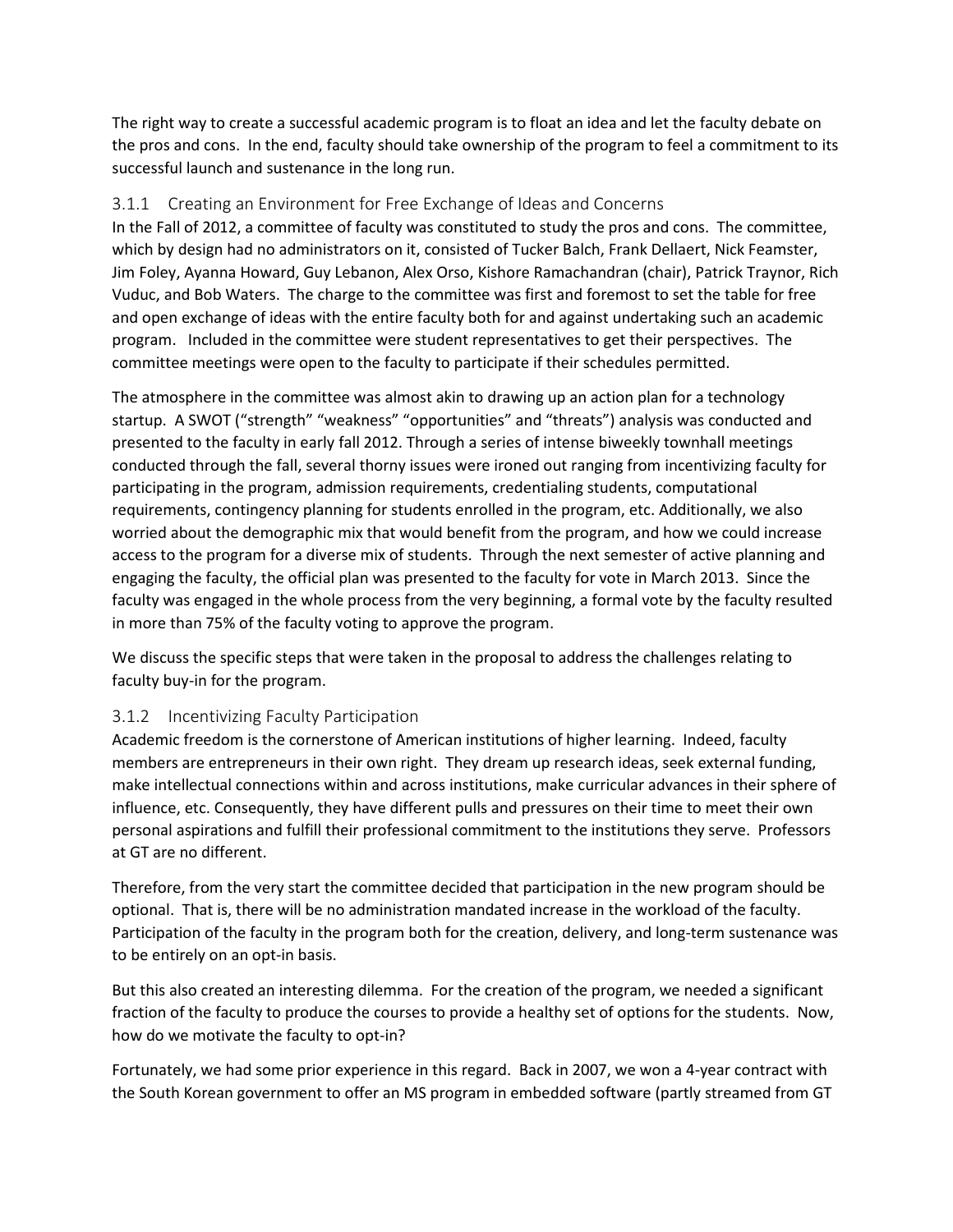The right way to create a successful academic program is to float an idea and let the faculty debate on the pros and cons. In the end, faculty should take ownership of the program to feel a commitment to its successful launch and sustenance in the long run.

## 3.1.1 Creating an Environment for Free Exchange of Ideas and Concerns

In the Fall of 2012, a committee of faculty was constituted to study the pros and cons. The committee, which by design had no administrators on it, consisted of Tucker Balch, Frank Dellaert, Nick Feamster, Jim Foley, Ayanna Howard, Guy Lebanon, Alex Orso, Kishore Ramachandran (chair), Patrick Traynor, Rich Vuduc, and Bob Waters. The charge to the committee was first and foremost to set the table for free and open exchange of ideas with the entire faculty both for and against undertaking such an academic program. Included in the committee were student representatives to get their perspectives. The committee meetings were open to the faculty to participate if their schedules permitted.

The atmosphere in the committee was almost akin to drawing up an action plan for a technology startup. A SWOT ("strength" "weakness" "opportunities" and "threats") analysis was conducted and presented to the faculty in early fall 2012. Through a series of intense biweekly townhall meetings conducted through the fall, several thorny issues were ironed out ranging from incentivizing faculty for participating in the program, admission requirements, credentialing students, computational requirements, contingency planning for students enrolled in the program, etc. Additionally, we also worried about the demographic mix that would benefit from the program, and how we could increase access to the program for a diverse mix of students. Through the next semester of active planning and engaging the faculty, the official plan was presented to the faculty for vote in March 2013. Since the faculty was engaged in the whole process from the very beginning, a formal vote by the faculty resulted in more than 75% of the faculty voting to approve the program.

We discuss the specific steps that were taken in the proposal to address the challenges relating to faculty buy-in for the program.

#### 3.1.2 Incentivizing Faculty Participation

Academic freedom is the cornerstone of American institutions of higher learning. Indeed, faculty members are entrepreneurs in their own right. They dream up research ideas, seek external funding, make intellectual connections within and across institutions, make curricular advances in their sphere of influence, etc. Consequently, they have different pulls and pressures on their time to meet their own personal aspirations and fulfill their professional commitment to the institutions they serve. Professors at GT are no different.

Therefore, from the very start the committee decided that participation in the new program should be optional. That is, there will be no administration mandated increase in the workload of the faculty. Participation of the faculty in the program both for the creation, delivery, and long-term sustenance was to be entirely on an opt-in basis.

But this also created an interesting dilemma. For the creation of the program, we needed a significant fraction of the faculty to produce the courses to provide a healthy set of options for the students. Now, how do we motivate the faculty to opt-in?

Fortunately, we had some prior experience in this regard. Back in 2007, we won a 4-year contract with the South Korean government to offer an MS program in embedded software (partly streamed from GT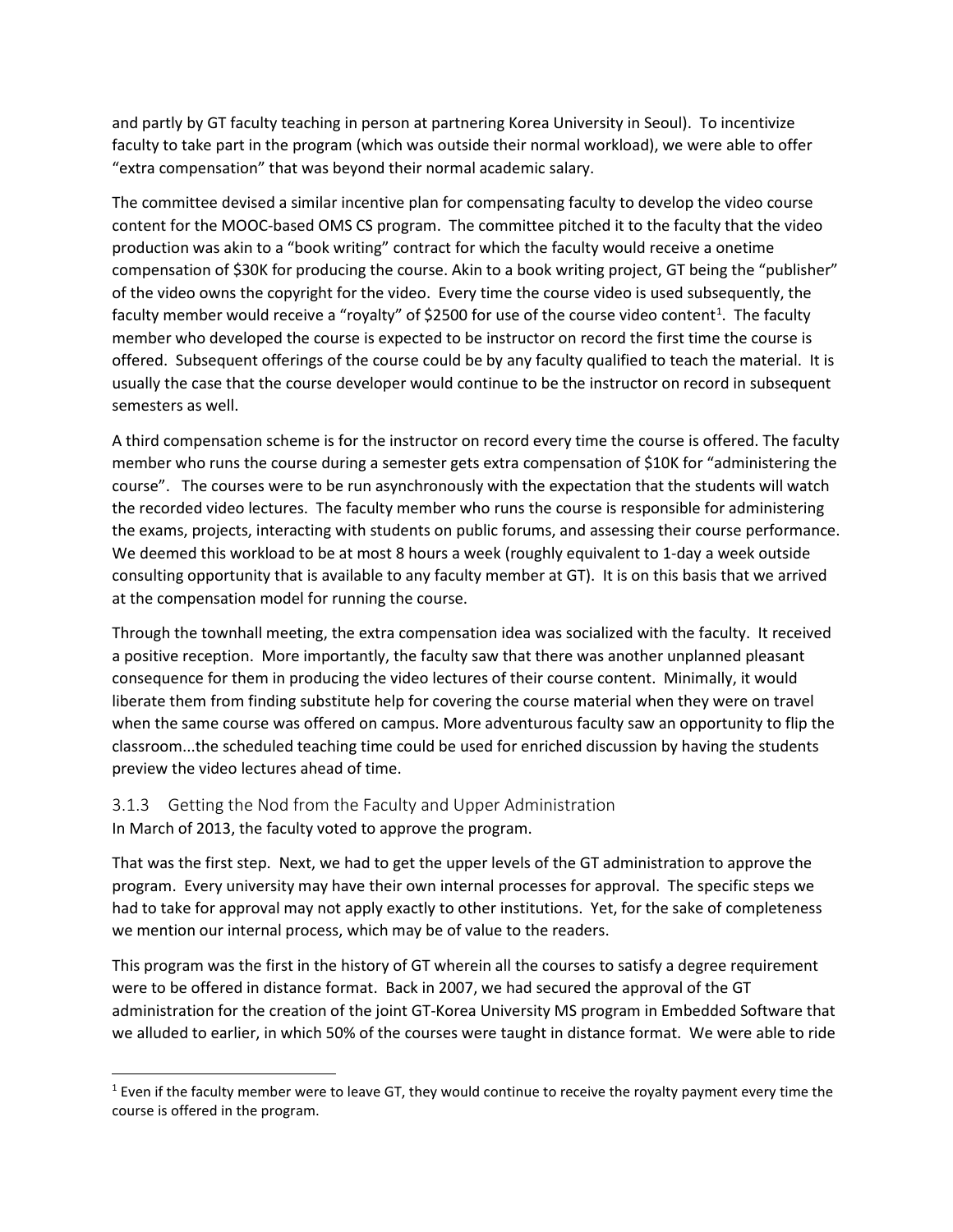and partly by GT faculty teaching in person at partnering Korea University in Seoul). To incentivize faculty to take part in the program (which was outside their normal workload), we were able to offer "extra compensation" that was beyond their normal academic salary.

The committee devised a similar incentive plan for compensating faculty to develop the video course content for the MOOC-based OMS CS program. The committee pitched it to the faculty that the video production was akin to a "book writing" contract for which the faculty would receive a onetime compensation of \$30K for producing the course. Akin to a book writing project, GT being the "publisher" of the video owns the copyright for the video. Every time the course video is used subsequently, the faculty member would receive a "royalty" of \$2500 for use of the course video content<sup>1</sup>. The faculty member who developed the course is expected to be instructor on record the first time the course is offered. Subsequent offerings of the course could be by any faculty qualified to teach the material. It is usually the case that the course developer would continue to be the instructor on record in subsequent semesters as well.

A third compensation scheme is for the instructor on record every time the course is offered. The faculty member who runs the course during a semester gets extra compensation of \$10K for "administering the course". The courses were to be run asynchronously with the expectation that the students will watch the recorded video lectures. The faculty member who runs the course is responsible for administering the exams, projects, interacting with students on public forums, and assessing their course performance. We deemed this workload to be at most 8 hours a week (roughly equivalent to 1-day a week outside consulting opportunity that is available to any faculty member at GT). It is on this basis that we arrived at the compensation model for running the course.

Through the townhall meeting, the extra compensation idea was socialized with the faculty. It received a positive reception. More importantly, the faculty saw that there was another unplanned pleasant consequence for them in producing the video lectures of their course content. Minimally, it would liberate them from finding substitute help for covering the course material when they were on travel when the same course was offered on campus. More adventurous faculty saw an opportunity to flip the classroom...the scheduled teaching time could be used for enriched discussion by having the students preview the video lectures ahead of time.

# 3.1.3 Getting the Nod from the Faculty and Upper Administration

In March of 2013, the faculty voted to approve the program.

That was the first step. Next, we had to get the upper levels of the GT administration to approve the program. Every university may have their own internal processes for approval. The specific steps we had to take for approval may not apply exactly to other institutions. Yet, for the sake of completeness we mention our internal process, which may be of value to the readers.

This program was the first in the history of GT wherein all the courses to satisfy a degree requirement were to be offered in distance format. Back in 2007, we had secured the approval of the GT administration for the creation of the joint GT-Korea University MS program in Embedded Software that we alluded to earlier, in which 50% of the courses were taught in distance format. We were able to ride

<span id="page-3-0"></span><sup>&</sup>lt;sup>1</sup> Even if the faculty member were to leave GT, they would continue to receive the royalty payment every time the course is offered in the program.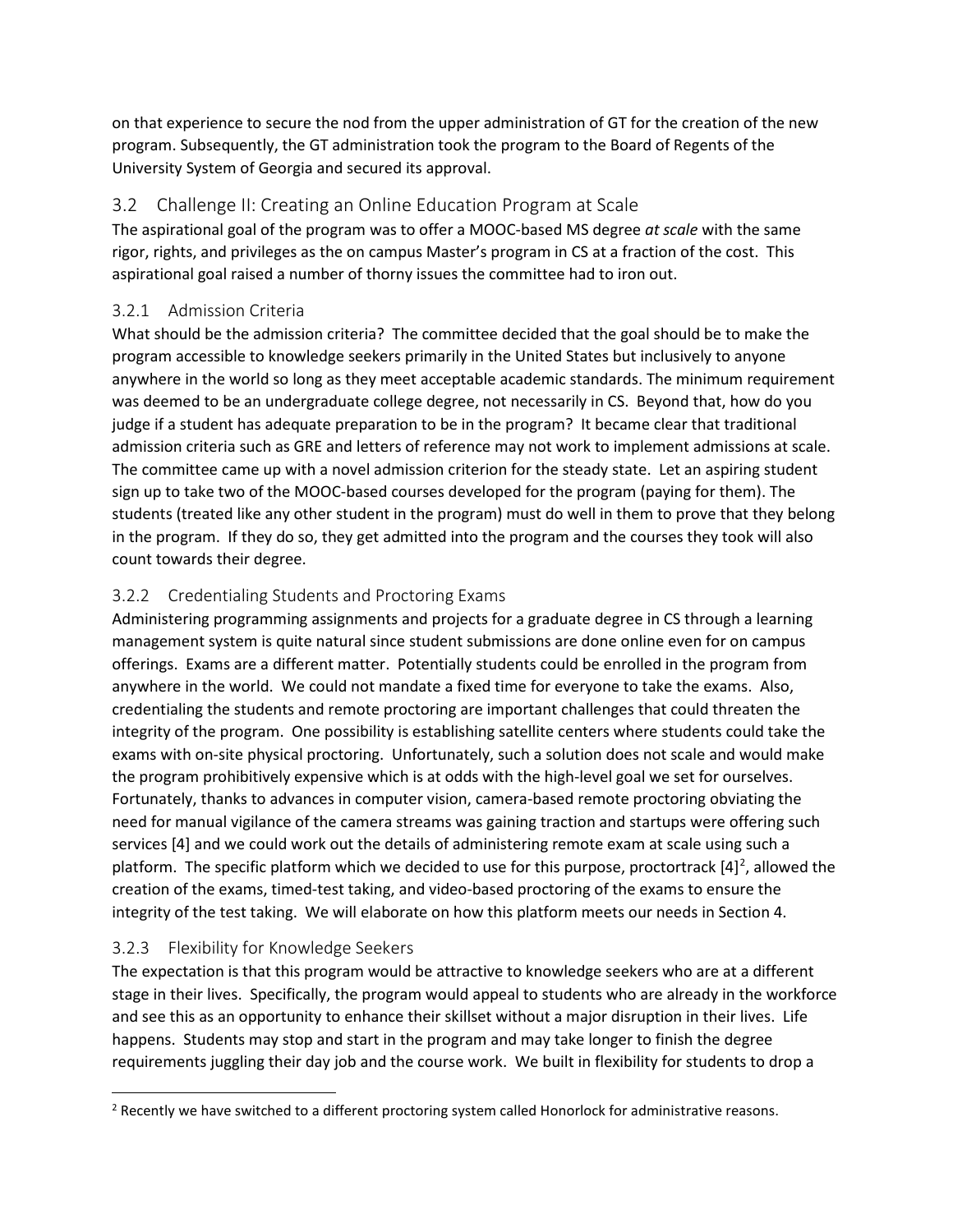on that experience to secure the nod from the upper administration of GT for the creation of the new program. Subsequently, the GT administration took the program to the Board of Regents of the University System of Georgia and secured its approval.

# <span id="page-4-0"></span>3.2 Challenge II: Creating an Online Education Program at Scale

The aspirational goal of the program was to offer a MOOC-based MS degree *at scale* with the same rigor, rights, and privileges as the on campus Master's program in CS at a fraction of the cost. This aspirational goal raised a number of thorny issues the committee had to iron out.

# 3.2.1 Admission Criteria

What should be the admission criteria? The committee decided that the goal should be to make the program accessible to knowledge seekers primarily in the United States but inclusively to anyone anywhere in the world so long as they meet acceptable academic standards. The minimum requirement was deemed to be an undergraduate college degree, not necessarily in CS. Beyond that, how do you judge if a student has adequate preparation to be in the program? It became clear that traditional admission criteria such as GRE and letters of reference may not work to implement admissions at scale. The committee came up with a novel admission criterion for the steady state. Let an aspiring student sign up to take two of the MOOC-based courses developed for the program (paying for them). The students (treated like any other student in the program) must do well in them to prove that they belong in the program. If they do so, they get admitted into the program and the courses they took will also count towards their degree.

# 3.2.2 Credentialing Students and Proctoring Exams

Administering programming assignments and projects for a graduate degree in CS through a learning management system is quite natural since student submissions are done online even for on campus offerings. Exams are a different matter. Potentially students could be enrolled in the program from anywhere in the world. We could not mandate a fixed time for everyone to take the exams. Also, credentialing the students and remote proctoring are important challenges that could threaten the integrity of the program. One possibility is establishing satellite centers where students could take the exams with on-site physical proctoring. Unfortunately, such a solution does not scale and would make the program prohibitively expensive which is at odds with the high-level goal we set for ourselves. Fortunately, thanks to advances in computer vision, camera-based remote proctoring obviating the need for manual vigilance of the camera streams was gaining traction and startups were offering such services [\[4\]](#page-15-3) and we could work out the details of administering remote exam at scale using such a platform. The specific platform which we decided to use for this purpose, proctortrack  $[4]^2$  $[4]^2$  $[4]^2$ , allowed the creation of the exams, timed-test taking, and video-based proctoring of the exams to ensure the integrity of the test taking. We will elaborate on how this platform meets our needs in Section [4.](#page-9-0)

# 3.2.3 Flexibility for Knowledge Seekers

The expectation is that this program would be attractive to knowledge seekers who are at a different stage in their lives. Specifically, the program would appeal to students who are already in the workforce and see this as an opportunity to enhance their skillset without a major disruption in their lives. Life happens. Students may stop and start in the program and may take longer to finish the degree requirements juggling their day job and the course work. We built in flexibility for students to drop a

<span id="page-4-1"></span><sup>&</sup>lt;sup>2</sup> Recently we have switched to a different proctoring system called Honorlock for administrative reasons.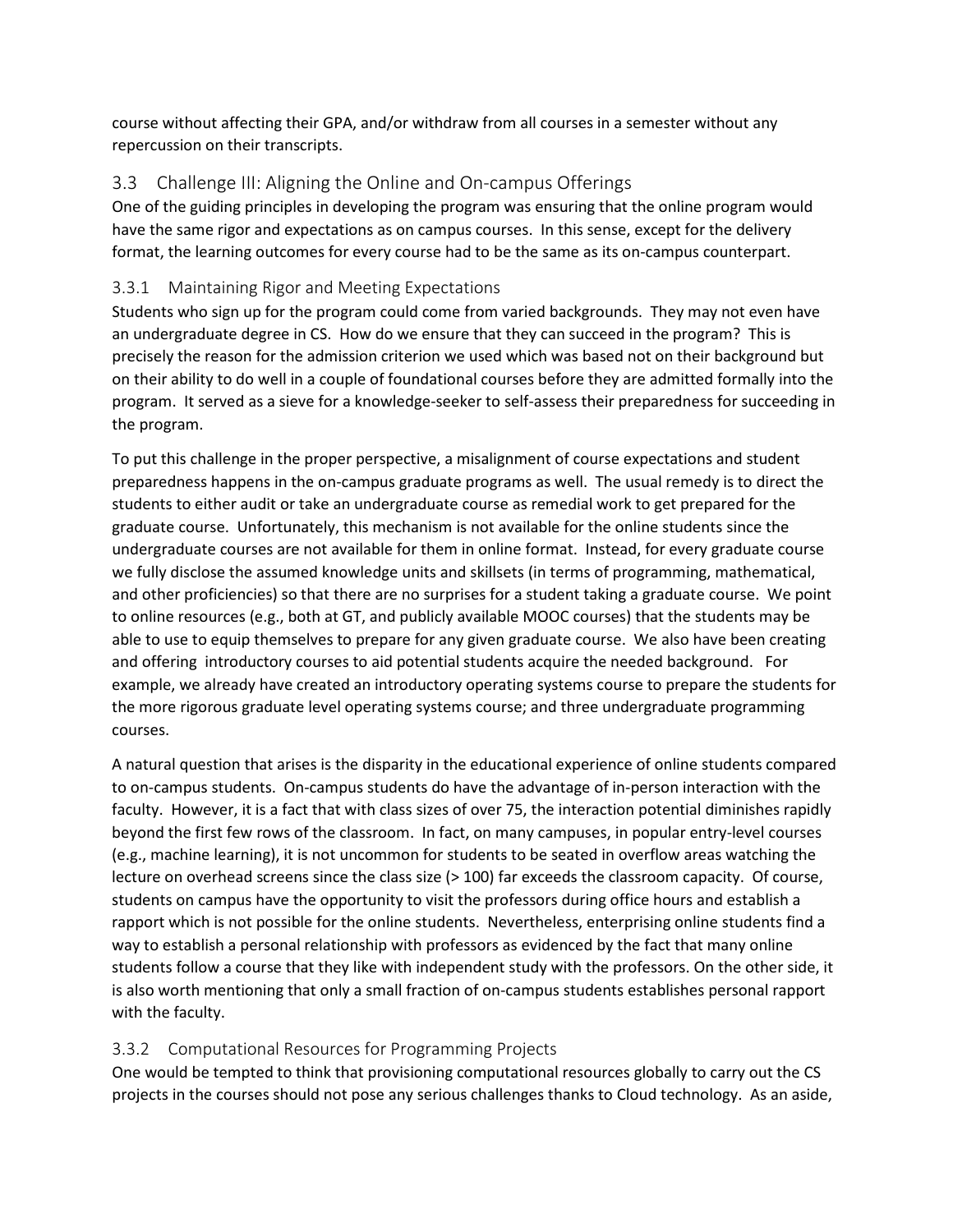course without affecting their GPA, and/or withdraw from all courses in a semester without any repercussion on their transcripts.

# <span id="page-5-0"></span>3.3 Challenge III: Aligning the Online and On-campus Offerings

One of the guiding principles in developing the program was ensuring that the online program would have the same rigor and expectations as on campus courses. In this sense, except for the delivery format, the learning outcomes for every course had to be the same as its on-campus counterpart.

# 3.3.1 Maintaining Rigor and Meeting Expectations

Students who sign up for the program could come from varied backgrounds. They may not even have an undergraduate degree in CS. How do we ensure that they can succeed in the program? This is precisely the reason for the admission criterion we used which was based not on their background but on their ability to do well in a couple of foundational courses before they are admitted formally into the program. It served as a sieve for a knowledge-seeker to self-assess their preparedness for succeeding in the program.

To put this challenge in the proper perspective, a misalignment of course expectations and student preparedness happens in the on-campus graduate programs as well. The usual remedy is to direct the students to either audit or take an undergraduate course as remedial work to get prepared for the graduate course. Unfortunately, this mechanism is not available for the online students since the undergraduate courses are not available for them in online format. Instead, for every graduate course we fully disclose the assumed knowledge units and skillsets (in terms of programming, mathematical, and other proficiencies) so that there are no surprises for a student taking a graduate course. We point to online resources (e.g., both at GT, and publicly available MOOC courses) that the students may be able to use to equip themselves to prepare for any given graduate course. We also have been creating and offering introductory courses to aid potential students acquire the needed background. For example, we already have created an introductory operating systems course to prepare the students for the more rigorous graduate level operating systems course; and three undergraduate programming courses.

A natural question that arises is the disparity in the educational experience of online students compared to on-campus students. On-campus students do have the advantage of in-person interaction with the faculty. However, it is a fact that with class sizes of over 75, the interaction potential diminishes rapidly beyond the first few rows of the classroom. In fact, on many campuses, in popular entry-level courses (e.g., machine learning), it is not uncommon for students to be seated in overflow areas watching the lecture on overhead screens since the class size (> 100) far exceeds the classroom capacity. Of course, students on campus have the opportunity to visit the professors during office hours and establish a rapport which is not possible for the online students. Nevertheless, enterprising online students find a way to establish a personal relationship with professors as evidenced by the fact that many online students follow a course that they like with independent study with the professors. On the other side, it is also worth mentioning that only a small fraction of on-campus students establishes personal rapport with the faculty.

# 3.3.2 Computational Resources for Programming Projects

One would be tempted to think that provisioning computational resources globally to carry out the CS projects in the courses should not pose any serious challenges thanks to Cloud technology. As an aside,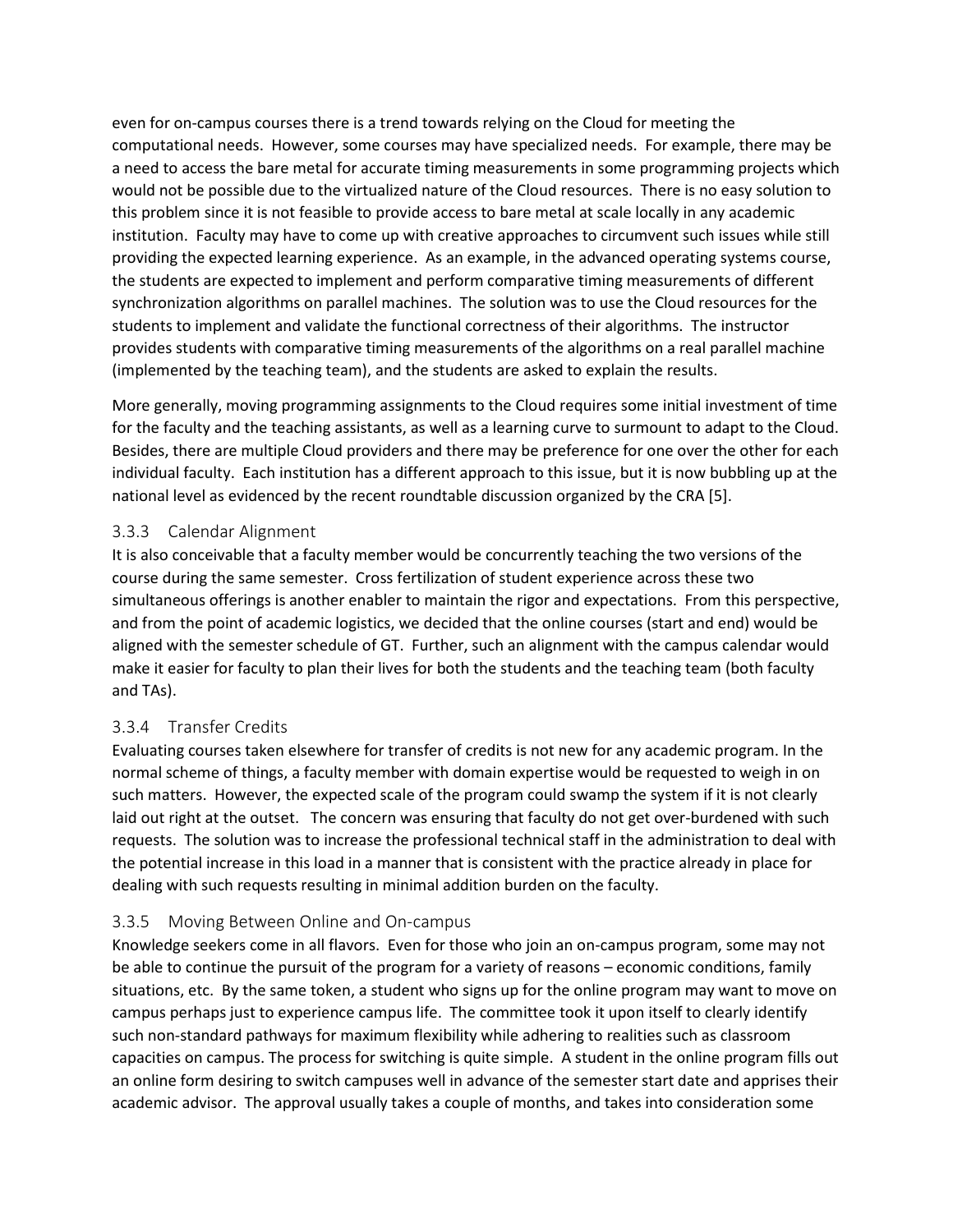even for on-campus courses there is a trend towards relying on the Cloud for meeting the computational needs. However, some courses may have specialized needs. For example, there may be a need to access the bare metal for accurate timing measurements in some programming projects which would not be possible due to the virtualized nature of the Cloud resources. There is no easy solution to this problem since it is not feasible to provide access to bare metal at scale locally in any academic institution. Faculty may have to come up with creative approaches to circumvent such issues while still providing the expected learning experience. As an example, in the advanced operating systems course, the students are expected to implement and perform comparative timing measurements of different synchronization algorithms on parallel machines. The solution was to use the Cloud resources for the students to implement and validate the functional correctness of their algorithms. The instructor provides students with comparative timing measurements of the algorithms on a real parallel machine (implemented by the teaching team), and the students are asked to explain the results.

More generally, moving programming assignments to the Cloud requires some initial investment of time for the faculty and the teaching assistants, as well as a learning curve to surmount to adapt to the Cloud. Besides, there are multiple Cloud providers and there may be preference for one over the other for each individual faculty. Each institution has a different approach to this issue, but it is now bubbling up at the national level as evidenced by the recent roundtable discussion organized by the CRA [\[5\]](#page-15-4).

### 3.3.3 Calendar Alignment

It is also conceivable that a faculty member would be concurrently teaching the two versions of the course during the same semester. Cross fertilization of student experience across these two simultaneous offerings is another enabler to maintain the rigor and expectations. From this perspective, and from the point of academic logistics, we decided that the online courses (start and end) would be aligned with the semester schedule of GT. Further, such an alignment with the campus calendar would make it easier for faculty to plan their lives for both the students and the teaching team (both faculty and TAs).

# 3.3.4 Transfer Credits

Evaluating courses taken elsewhere for transfer of credits is not new for any academic program. In the normal scheme of things, a faculty member with domain expertise would be requested to weigh in on such matters. However, the expected scale of the program could swamp the system if it is not clearly laid out right at the outset. The concern was ensuring that faculty do not get over-burdened with such requests. The solution was to increase the professional technical staff in the administration to deal with the potential increase in this load in a manner that is consistent with the practice already in place for dealing with such requests resulting in minimal addition burden on the faculty.

#### 3.3.5 Moving Between Online and On-campus

Knowledge seekers come in all flavors. Even for those who join an on-campus program, some may not be able to continue the pursuit of the program for a variety of reasons – economic conditions, family situations, etc. By the same token, a student who signs up for the online program may want to move on campus perhaps just to experience campus life. The committee took it upon itself to clearly identify such non-standard pathways for maximum flexibility while adhering to realities such as classroom capacities on campus. The process for switching is quite simple. A student in the online program fills out an online form desiring to switch campuses well in advance of the semester start date and apprises their academic advisor. The approval usually takes a couple of months, and takes into consideration some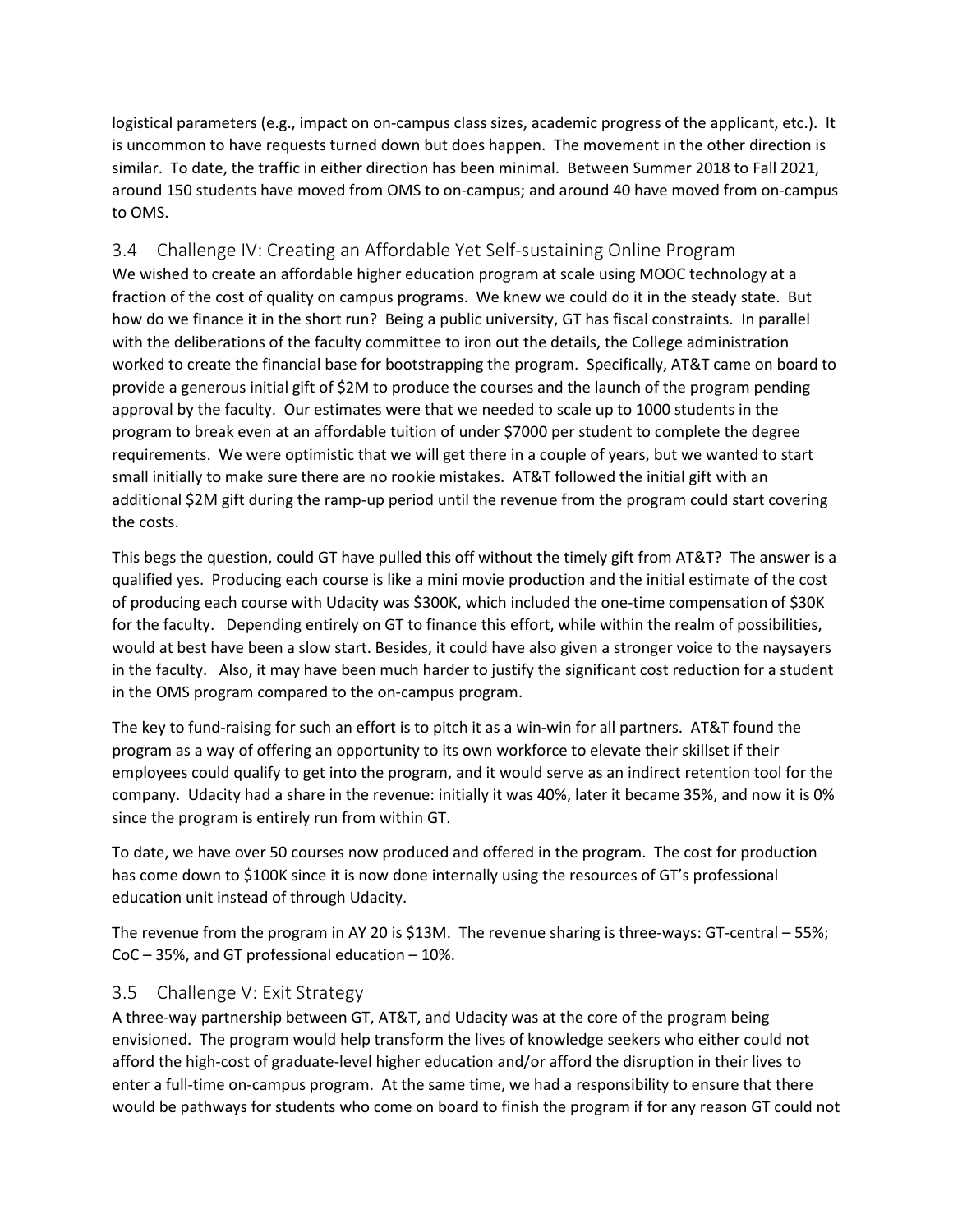logistical parameters (e.g., impact on on-campus class sizes, academic progress of the applicant, etc.). It is uncommon to have requests turned down but does happen. The movement in the other direction is similar. To date, the traffic in either direction has been minimal. Between Summer 2018 to Fall 2021, around 150 students have moved from OMS to on-campus; and around 40 have moved from on-campus to OMS.

<span id="page-7-0"></span>3.4 Challenge IV: Creating an Affordable Yet Self-sustaining Online Program We wished to create an affordable higher education program at scale using MOOC technology at a fraction of the cost of quality on campus programs. We knew we could do it in the steady state. But how do we finance it in the short run? Being a public university, GT has fiscal constraints. In parallel with the deliberations of the faculty committee to iron out the details, the College administration worked to create the financial base for bootstrapping the program. Specifically, AT&T came on board to provide a generous initial gift of \$2M to produce the courses and the launch of the program pending approval by the faculty. Our estimates were that we needed to scale up to 1000 students in the program to break even at an affordable tuition of under \$7000 per student to complete the degree requirements. We were optimistic that we will get there in a couple of years, but we wanted to start small initially to make sure there are no rookie mistakes. AT&T followed the initial gift with an additional \$2M gift during the ramp-up period until the revenue from the program could start covering the costs.

This begs the question, could GT have pulled this off without the timely gift from AT&T? The answer is a qualified yes. Producing each course is like a mini movie production and the initial estimate of the cost of producing each course with Udacity was \$300K, which included the one-time compensation of \$30K for the faculty. Depending entirely on GT to finance this effort, while within the realm of possibilities, would at best have been a slow start. Besides, it could have also given a stronger voice to the naysayers in the faculty. Also, it may have been much harder to justify the significant cost reduction for a student in the OMS program compared to the on-campus program.

The key to fund-raising for such an effort is to pitch it as a win-win for all partners. AT&T found the program as a way of offering an opportunity to its own workforce to elevate their skillset if their employees could qualify to get into the program, and it would serve as an indirect retention tool for the company. Udacity had a share in the revenue: initially it was 40%, later it became 35%, and now it is 0% since the program is entirely run from within GT.

To date, we have over 50 courses now produced and offered in the program. The cost for production has come down to \$100K since it is now done internally using the resources of GT's professional education unit instead of through Udacity.

The revenue from the program in AY 20 is \$13M. The revenue sharing is three-ways: GT-central – 55%; CoC – 35%, and GT professional education – 10%.

# <span id="page-7-1"></span>3.5 Challenge V: Exit Strategy

A three-way partnership between GT, AT&T, and Udacity was at the core of the program being envisioned. The program would help transform the lives of knowledge seekers who either could not afford the high-cost of graduate-level higher education and/or afford the disruption in their lives to enter a full-time on-campus program. At the same time, we had a responsibility to ensure that there would be pathways for students who come on board to finish the program if for any reason GT could not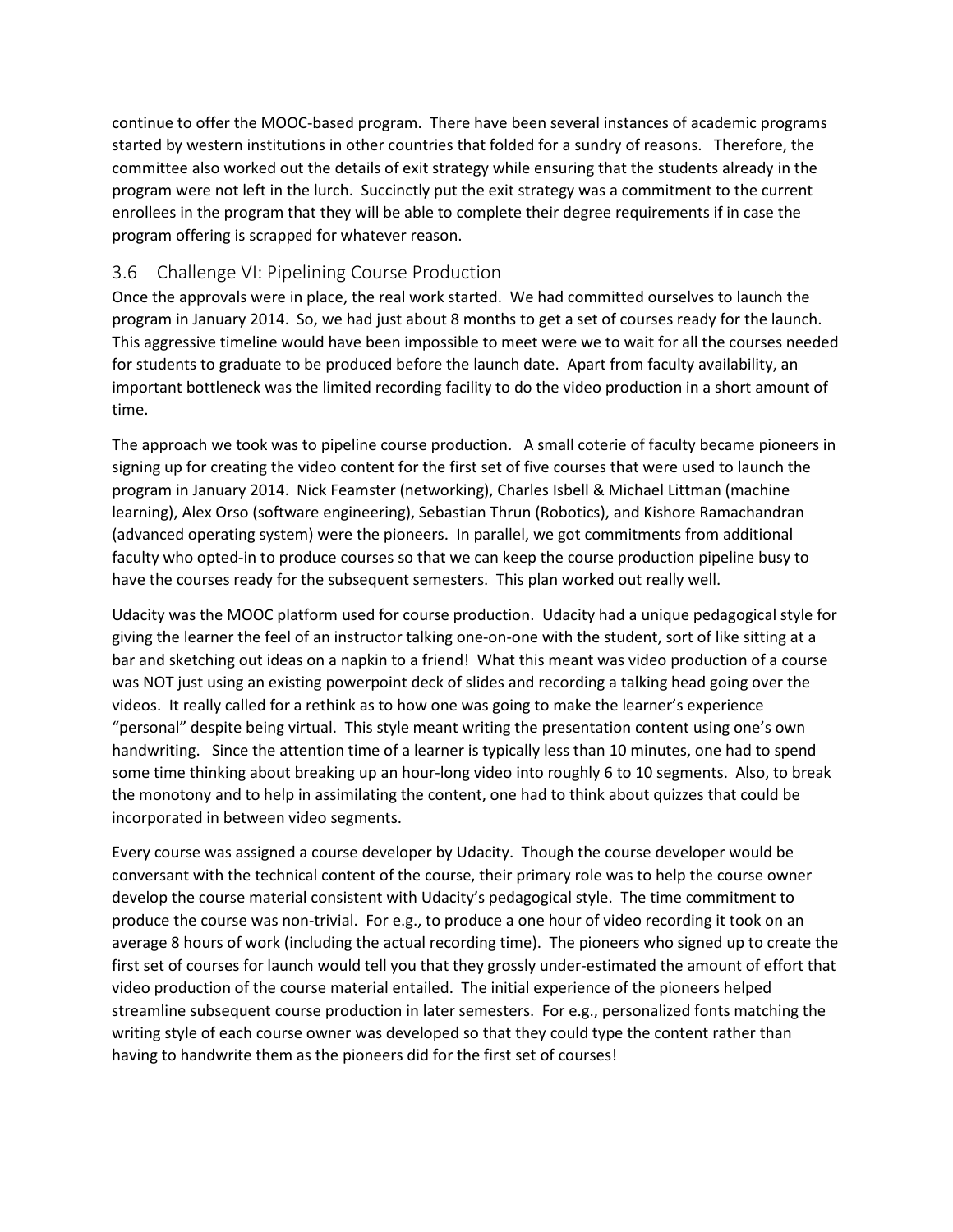continue to offer the MOOC-based program. There have been several instances of academic programs started by western institutions in other countries that folded for a sundry of reasons. Therefore, the committee also worked out the details of exit strategy while ensuring that the students already in the program were not left in the lurch. Succinctly put the exit strategy was a commitment to the current enrollees in the program that they will be able to complete their degree requirements if in case the program offering is scrapped for whatever reason.

## <span id="page-8-0"></span>3.6 Challenge VI: Pipelining Course Production

Once the approvals were in place, the real work started. We had committed ourselves to launch the program in January 2014. So, we had just about 8 months to get a set of courses ready for the launch. This aggressive timeline would have been impossible to meet were we to wait for all the courses needed for students to graduate to be produced before the launch date. Apart from faculty availability, an important bottleneck was the limited recording facility to do the video production in a short amount of time.

The approach we took was to pipeline course production. A small coterie of faculty became pioneers in signing up for creating the video content for the first set of five courses that were used to launch the program in January 2014. Nick Feamster (networking), Charles Isbell & Michael Littman (machine learning), Alex Orso (software engineering), Sebastian Thrun (Robotics), and Kishore Ramachandran (advanced operating system) were the pioneers. In parallel, we got commitments from additional faculty who opted-in to produce courses so that we can keep the course production pipeline busy to have the courses ready for the subsequent semesters. This plan worked out really well.

Udacity was the MOOC platform used for course production. Udacity had a unique pedagogical style for giving the learner the feel of an instructor talking one-on-one with the student, sort of like sitting at a bar and sketching out ideas on a napkin to a friend! What this meant was video production of a course was NOT just using an existing powerpoint deck of slides and recording a talking head going over the videos. It really called for a rethink as to how one was going to make the learner's experience "personal" despite being virtual. This style meant writing the presentation content using one's own handwriting. Since the attention time of a learner is typically less than 10 minutes, one had to spend some time thinking about breaking up an hour-long video into roughly 6 to 10 segments. Also, to break the monotony and to help in assimilating the content, one had to think about quizzes that could be incorporated in between video segments.

Every course was assigned a course developer by Udacity. Though the course developer would be conversant with the technical content of the course, their primary role was to help the course owner develop the course material consistent with Udacity's pedagogical style. The time commitment to produce the course was non-trivial. For e.g., to produce a one hour of video recording it took on an average 8 hours of work (including the actual recording time). The pioneers who signed up to create the first set of courses for launch would tell you that they grossly under-estimated the amount of effort that video production of the course material entailed. The initial experience of the pioneers helped streamline subsequent course production in later semesters. For e.g., personalized fonts matching the writing style of each course owner was developed so that they could type the content rather than having to handwrite them as the pioneers did for the first set of courses!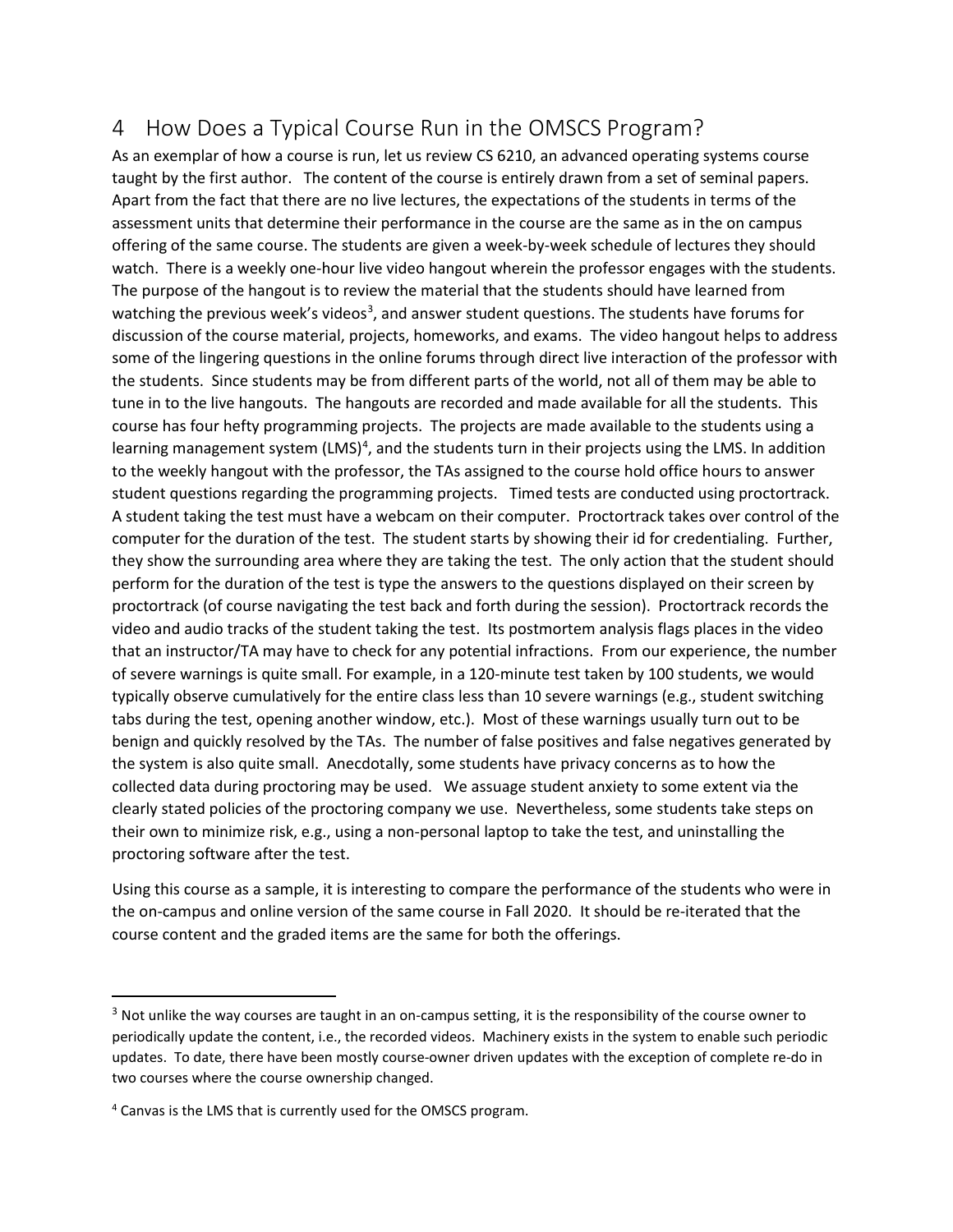# <span id="page-9-0"></span>4 How Does a Typical Course Run in the OMSCS Program?

As an exemplar of how a course is run, let us review CS 6210, an advanced operating systems course taught by the first author. The content of the course is entirely drawn from a set of seminal papers. Apart from the fact that there are no live lectures, the expectations of the students in terms of the assessment units that determine their performance in the course are the same as in the on campus offering of the same course. The students are given a week-by-week schedule of lectures they should watch. There is a weekly one-hour live video hangout wherein the professor engages with the students. The purpose of the hangout is to review the material that the students should have learned from watching the previous week's videos<sup>[3](#page-9-1)</sup>, and answer student questions. The students have forums for discussion of the course material, projects, homeworks, and exams. The video hangout helps to address some of the lingering questions in the online forums through direct live interaction of the professor with the students. Since students may be from different parts of the world, not all of them may be able to tune in to the live hangouts. The hangouts are recorded and made available for all the students. This course has four hefty programming projects. The projects are made available to the students using a learning management system (LMS)<sup>[4](#page-9-2)</sup>, and the students turn in their projects using the LMS. In addition to the weekly hangout with the professor, the TAs assigned to the course hold office hours to answer student questions regarding the programming projects. Timed tests are conducted using proctortrack. A student taking the test must have a webcam on their computer. Proctortrack takes over control of the computer for the duration of the test. The student starts by showing their id for credentialing. Further, they show the surrounding area where they are taking the test. The only action that the student should perform for the duration of the test is type the answers to the questions displayed on their screen by proctortrack (of course navigating the test back and forth during the session). Proctortrack records the video and audio tracks of the student taking the test. Its postmortem analysis flags places in the video that an instructor/TA may have to check for any potential infractions. From our experience, the number of severe warnings is quite small. For example, in a 120-minute test taken by 100 students, we would typically observe cumulatively for the entire class less than 10 severe warnings (e.g., student switching tabs during the test, opening another window, etc.). Most of these warnings usually turn out to be benign and quickly resolved by the TAs. The number of false positives and false negatives generated by the system is also quite small. Anecdotally, some students have privacy concerns as to how the collected data during proctoring may be used. We assuage student anxiety to some extent via the clearly stated policies of the proctoring company we use. Nevertheless, some students take steps on their own to minimize risk, e.g., using a non-personal laptop to take the test, and uninstalling the proctoring software after the test.

Using this course as a sample, it is interesting to compare the performance of the students who were in the on-campus and online version of the same course in Fall 2020. It should be re-iterated that the course content and the graded items are the same for both the offerings.

<span id="page-9-1"></span><sup>&</sup>lt;sup>3</sup> Not unlike the way courses are taught in an on-campus setting, it is the responsibility of the course owner to periodically update the content, i.e., the recorded videos. Machinery exists in the system to enable such periodic updates. To date, there have been mostly course-owner driven updates with the exception of complete re-do in two courses where the course ownership changed.

<span id="page-9-2"></span><sup>4</sup> Canvas is the LMS that is currently used for the OMSCS program.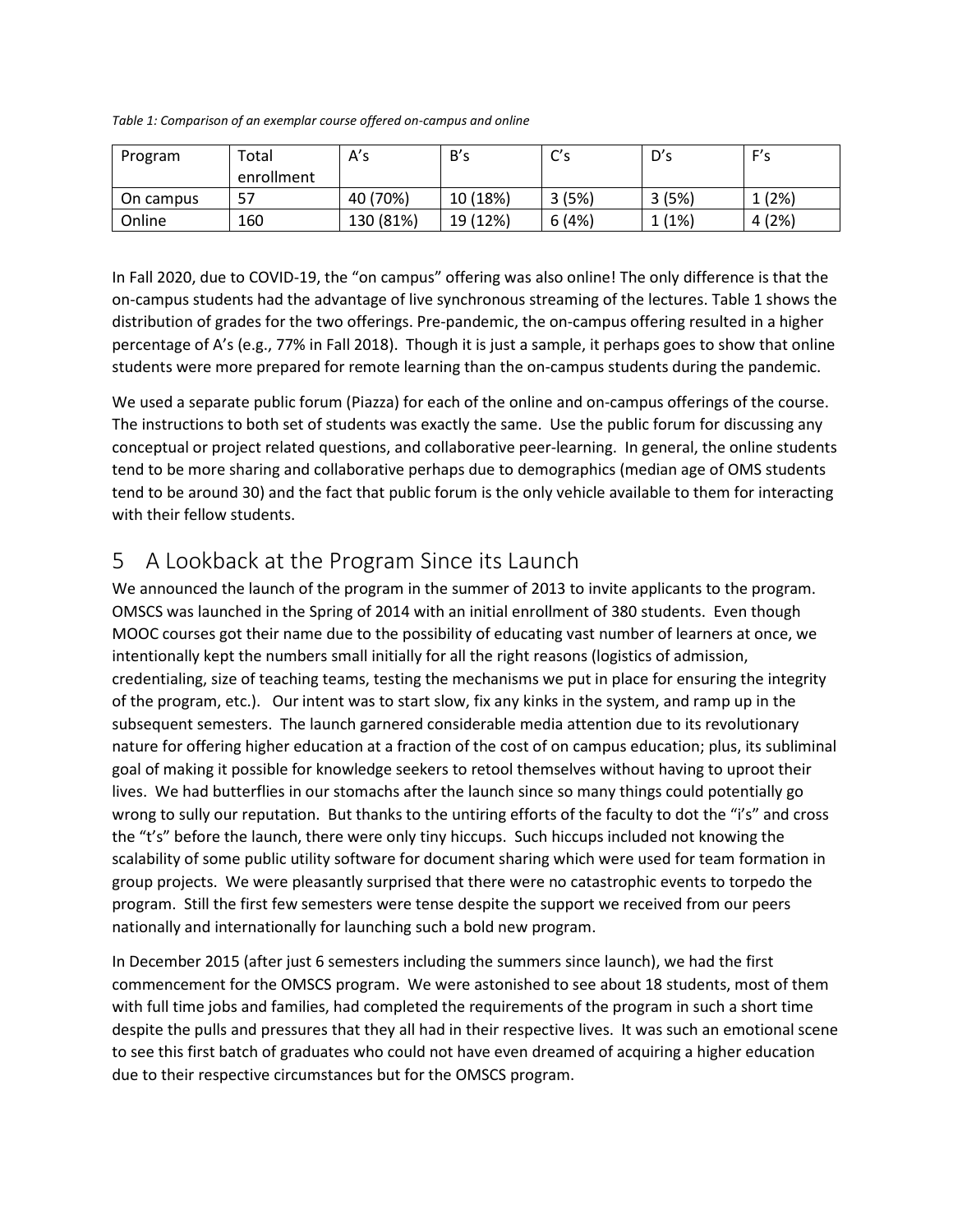<span id="page-10-0"></span>*Table 1: Comparison of an exemplar course offered on-campus and online*

| Program   | Total      | A's       | B's      | C's   | D's   | F's   |
|-----------|------------|-----------|----------|-------|-------|-------|
|           | enrollment |           |          |       |       |       |
| On campus | 57         | 40 (70%)  | 10 (18%) | 3(5%) | 3(5%) | 1(2%) |
| Online    | 160        | 130 (81%) | 19 (12%) | 6(4%) | 1(1%) | 4(2%) |

In Fall 2020, due to COVID-19, the "on campus" offering was also online! The only difference is that the on-campus students had the advantage of live synchronous streaming of the lectures[. Table 1](#page-10-0) shows the distribution of grades for the two offerings. Pre-pandemic, the on-campus offering resulted in a higher percentage of A's (e.g., 77% in Fall 2018). Though it is just a sample, it perhaps goes to show that online students were more prepared for remote learning than the on-campus students during the pandemic.

We used a separate public forum (Piazza) for each of the online and on-campus offerings of the course. The instructions to both set of students was exactly the same. Use the public forum for discussing any conceptual or project related questions, and collaborative peer-learning. In general, the online students tend to be more sharing and collaborative perhaps due to demographics (median age of OMS students tend to be around 30) and the fact that public forum is the only vehicle available to them for interacting with their fellow students.

# 5 A Lookback at the Program Since its Launch

We announced the launch of the program in the summer of 2013 to invite applicants to the program. OMSCS was launched in the Spring of 2014 with an initial enrollment of 380 students. Even though MOOC courses got their name due to the possibility of educating vast number of learners at once, we intentionally kept the numbers small initially for all the right reasons (logistics of admission, credentialing, size of teaching teams, testing the mechanisms we put in place for ensuring the integrity of the program, etc.). Our intent was to start slow, fix any kinks in the system, and ramp up in the subsequent semesters. The launch garnered considerable media attention due to its revolutionary nature for offering higher education at a fraction of the cost of on campus education; plus, its subliminal goal of making it possible for knowledge seekers to retool themselves without having to uproot their lives. We had butterflies in our stomachs after the launch since so many things could potentially go wrong to sully our reputation. But thanks to the untiring efforts of the faculty to dot the "i's" and cross the "t's" before the launch, there were only tiny hiccups. Such hiccups included not knowing the scalability of some public utility software for document sharing which were used for team formation in group projects. We were pleasantly surprised that there were no catastrophic events to torpedo the program. Still the first few semesters were tense despite the support we received from our peers nationally and internationally for launching such a bold new program.

In December 2015 (after just 6 semesters including the summers since launch), we had the first commencement for the OMSCS program. We were astonished to see about 18 students, most of them with full time jobs and families, had completed the requirements of the program in such a short time despite the pulls and pressures that they all had in their respective lives. It was such an emotional scene to see this first batch of graduates who could not have even dreamed of acquiring a higher education due to their respective circumstances but for the OMSCS program.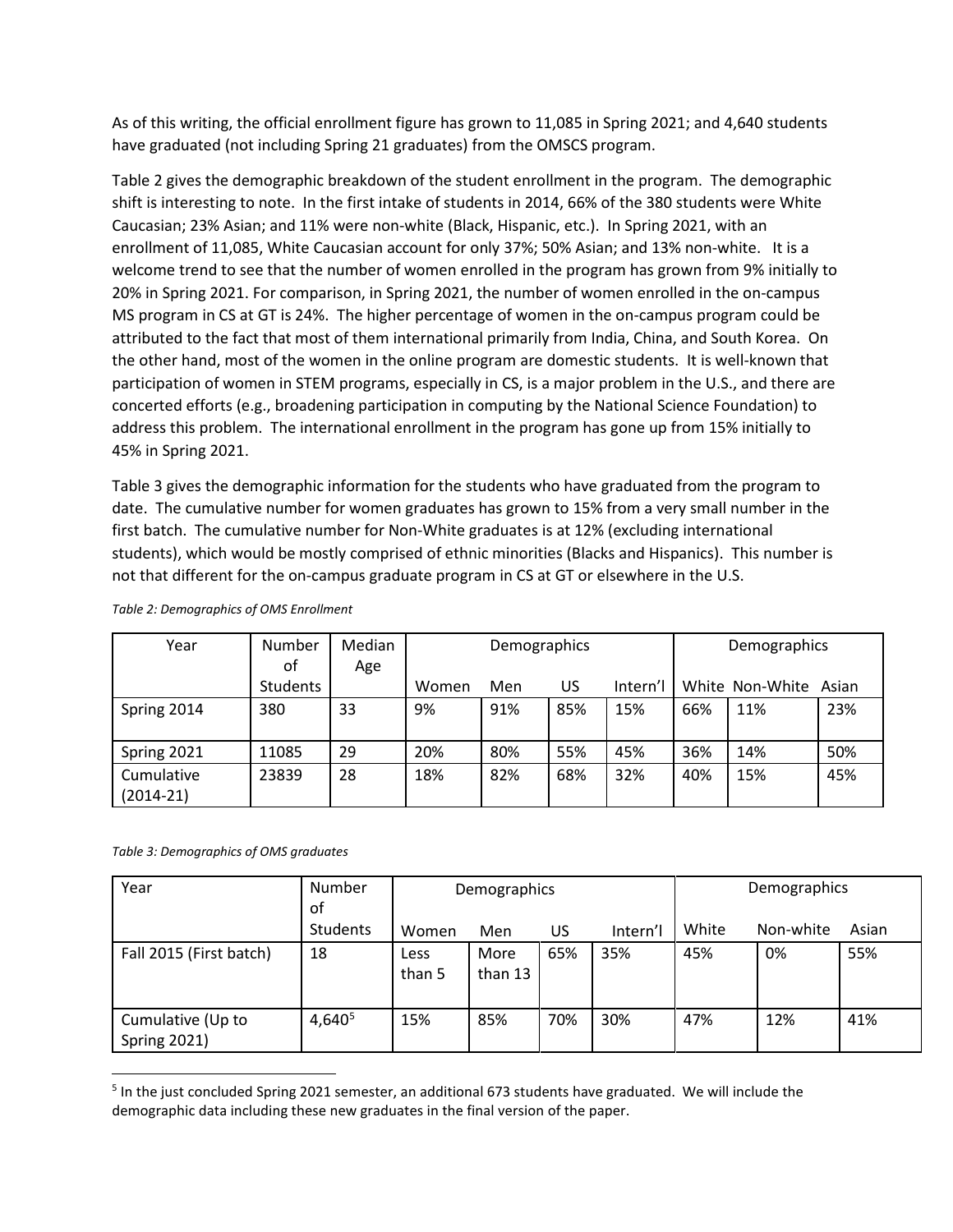As of this writing, the official enrollment figure has grown to 11,085 in Spring 2021; and 4,640 students have graduated (not including Spring 21 graduates) from the OMSCS program.

[Table 2](#page-11-0) gives the demographic breakdown of the student enrollment in the program. The demographic shift is interesting to note. In the first intake of students in 2014, 66% of the 380 students were White Caucasian; 23% Asian; and 11% were non-white (Black, Hispanic, etc.). In Spring 2021, with an enrollment of 11,085, White Caucasian account for only 37%; 50% Asian; and 13% non-white. It is a welcome trend to see that the number of women enrolled in the program has grown from 9% initially to 20% in Spring 2021. For comparison, in Spring 2021, the number of women enrolled in the on-campus MS program in CS at GT is 24%. The higher percentage of women in the on-campus program could be attributed to the fact that most of them international primarily from India, China, and South Korea. On the other hand, most of the women in the online program are domestic students. It is well-known that participation of women in STEM programs, especially in CS, is a major problem in the U.S., and there are concerted efforts (e.g., broadening participation in computing by the National Science Foundation) to address this problem. The international enrollment in the program has gone up from 15% initially to 45% in Spring 2021.

[Table 3](#page-11-1) gives the demographic information for the students who have graduated from the program to date. The cumulative number for women graduates has grown to 15% from a very small number in the first batch. The cumulative number for Non-White graduates is at 12% (excluding international students), which would be mostly comprised of ethnic minorities (Blacks and Hispanics). This number is not that different for the on-campus graduate program in CS at GT or elsewhere in the U.S.

| Year                      | Number          | Median | Demographics |     |     |          | Demographics |                 |       |
|---------------------------|-----------------|--------|--------------|-----|-----|----------|--------------|-----------------|-------|
|                           | οf              | Age    |              |     |     |          |              |                 |       |
|                           | <b>Students</b> |        | Women        | Men | US  | Intern'l |              | White Non-White | Asian |
| Spring 2014               | 380             | 33     | 9%           | 91% | 85% | 15%      | 66%          | 11%             | 23%   |
| Spring 2021               | 11085           | 29     | 20%          | 80% | 55% | 45%      | 36%          | 14%             | 50%   |
| Cumulative<br>$(2014-21)$ | 23839           | 28     | 18%          | 82% | 68% | 32%      | 40%          | 15%             | 45%   |

<span id="page-11-0"></span>*Table 2: Demographics of OMS Enrollment*

#### <span id="page-11-1"></span>*Table 3: Demographics of OMS graduates*

| Year                                     | Number<br>оf       | Demographics   |                 |     | Demographics |       |           |       |
|------------------------------------------|--------------------|----------------|-----------------|-----|--------------|-------|-----------|-------|
|                                          | <b>Students</b>    | Women          | Men             | US. | Intern'l     | White | Non-white | Asian |
| Fall 2015 (First batch)                  | 18                 | Less<br>than 5 | More<br>than 13 | 65% | 35%          | 45%   | 0%        | 55%   |
| Cumulative (Up to<br><b>Spring 2021)</b> | 4,640 <sup>5</sup> | 15%            | 85%             | 70% | 30%          | 47%   | 12%       | 41%   |

<span id="page-11-2"></span><sup>5</sup> In the just concluded Spring 2021 semester, an additional 673 students have graduated. We will include the demographic data including these new graduates in the final version of the paper.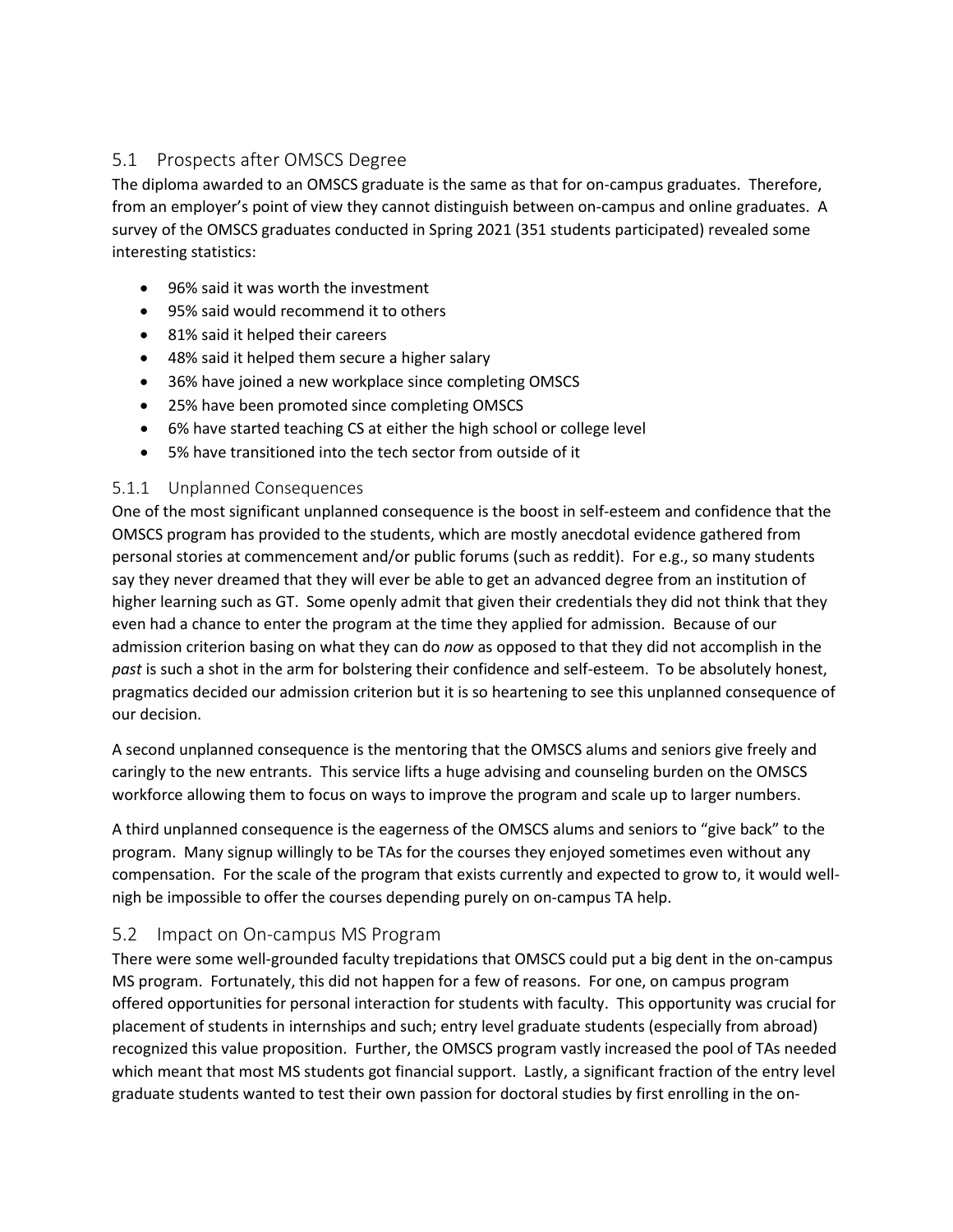# 5.1 Prospects after OMSCS Degree

The diploma awarded to an OMSCS graduate is the same as that for on-campus graduates. Therefore, from an employer's point of view they cannot distinguish between on-campus and online graduates. A survey of the OMSCS graduates conducted in Spring 2021 (351 students participated) revealed some interesting statistics:

- 96% said it was worth the investment
- 95% said would recommend it to others
- 81% said it helped their careers
- 48% said it helped them secure a higher salary
- 36% have joined a new workplace since completing OMSCS
- 25% have been promoted since completing OMSCS
- 6% have started teaching CS at either the high school or college level
- 5% have transitioned into the tech sector from outside of it

#### 5.1.1 Unplanned Consequences

One of the most significant unplanned consequence is the boost in self-esteem and confidence that the OMSCS program has provided to the students, which are mostly anecdotal evidence gathered from personal stories at commencement and/or public forums (such as reddit). For e.g., so many students say they never dreamed that they will ever be able to get an advanced degree from an institution of higher learning such as GT. Some openly admit that given their credentials they did not think that they even had a chance to enter the program at the time they applied for admission. Because of our admission criterion basing on what they can do *now* as opposed to that they did not accomplish in the *past* is such a shot in the arm for bolstering their confidence and self-esteem. To be absolutely honest, pragmatics decided our admission criterion but it is so heartening to see this unplanned consequence of our decision.

A second unplanned consequence is the mentoring that the OMSCS alums and seniors give freely and caringly to the new entrants. This service lifts a huge advising and counseling burden on the OMSCS workforce allowing them to focus on ways to improve the program and scale up to larger numbers.

A third unplanned consequence is the eagerness of the OMSCS alums and seniors to "give back" to the program. Many signup willingly to be TAs for the courses they enjoyed sometimes even without any compensation. For the scale of the program that exists currently and expected to grow to, it would wellnigh be impossible to offer the courses depending purely on on-campus TA help.

# 5.2 Impact on On-campus MS Program

There were some well-grounded faculty trepidations that OMSCS could put a big dent in the on-campus MS program. Fortunately, this did not happen for a few of reasons. For one, on campus program offered opportunities for personal interaction for students with faculty. This opportunity was crucial for placement of students in internships and such; entry level graduate students (especially from abroad) recognized this value proposition. Further, the OMSCS program vastly increased the pool of TAs needed which meant that most MS students got financial support. Lastly, a significant fraction of the entry level graduate students wanted to test their own passion for doctoral studies by first enrolling in the on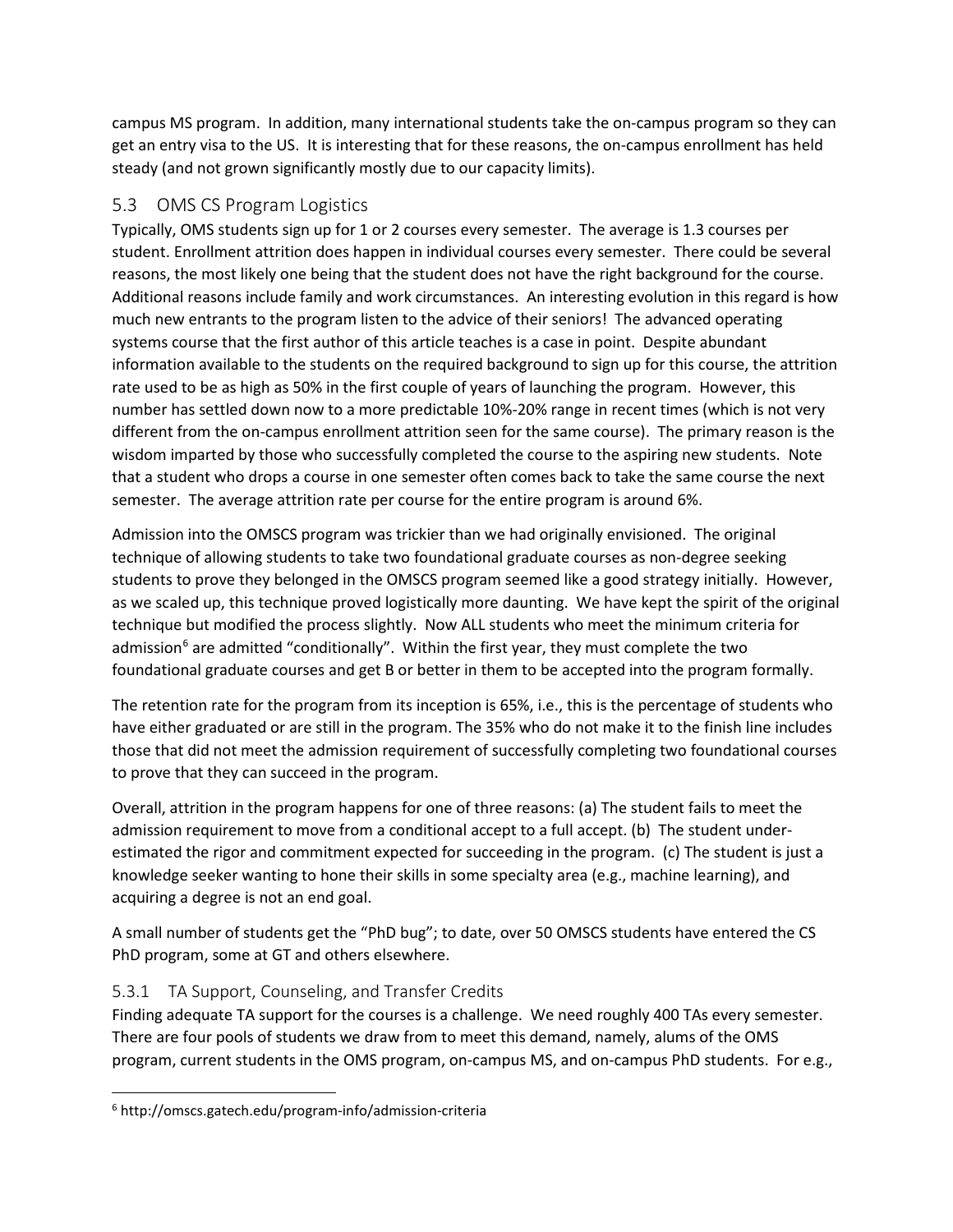campus MS program. In addition, many international students take the on-campus program so they can get an entry visa to the US. It is interesting that for these reasons, the on-campus enrollment has held steady (and not grown significantly mostly due to our capacity limits).

# 5.3 OMS CS Program Logistics

Typically, OMS students sign up for 1 or 2 courses every semester. The average is 1.3 courses per student. Enrollment attrition does happen in individual courses every semester. There could be several reasons, the most likely one being that the student does not have the right background for the course. Additional reasons include family and work circumstances. An interesting evolution in this regard is how much new entrants to the program listen to the advice of their seniors! The advanced operating systems course that the first author of this article teaches is a case in point. Despite abundant information available to the students on the required background to sign up for this course, the attrition rate used to be as high as 50% in the first couple of years of launching the program. However, this number has settled down now to a more predictable 10%-20% range in recent times (which is not very different from the on-campus enrollment attrition seen for the same course). The primary reason is the wisdom imparted by those who successfully completed the course to the aspiring new students. Note that a student who drops a course in one semester often comes back to take the same course the next semester. The average attrition rate per course for the entire program is around 6%.

Admission into the OMSCS program was trickier than we had originally envisioned. The original technique of allowing students to take two foundational graduate courses as non-degree seeking students to prove they belonged in the OMSCS program seemed like a good strategy initially. However, as we scaled up, this technique proved logistically more daunting. We have kept the spirit of the original technique but modified the process slightly. Now ALL students who meet the minimum criteria for admission<sup>[6](#page-13-0)</sup> are admitted "conditionally". Within the first year, they must complete the two foundational graduate courses and get B or better in them to be accepted into the program formally.

The retention rate for the program from its inception is 65%, i.e., this is the percentage of students who have either graduated or are still in the program. The 35% who do not make it to the finish line includes those that did not meet the admission requirement of successfully completing two foundational courses to prove that they can succeed in the program.

Overall, attrition in the program happens for one of three reasons: (a) The student fails to meet the admission requirement to move from a conditional accept to a full accept. (b) The student underestimated the rigor and commitment expected for succeeding in the program. (c) The student is just a knowledge seeker wanting to hone their skills in some specialty area (e.g., machine learning), and acquiring a degree is not an end goal.

A small number of students get the "PhD bug"; to date, over 50 OMSCS students have entered the CS PhD program, some at GT and others elsewhere.

# 5.3.1 TA Support, Counseling, and Transfer Credits

Finding adequate TA support for the courses is a challenge. We need roughly 400 TAs every semester. There are four pools of students we draw from to meet this demand, namely, alums of the OMS program, current students in the OMS program, on-campus MS, and on-campus PhD students. For e.g.,

<span id="page-13-0"></span><sup>6</sup> http://omscs.gatech.edu/program-info/admission-criteria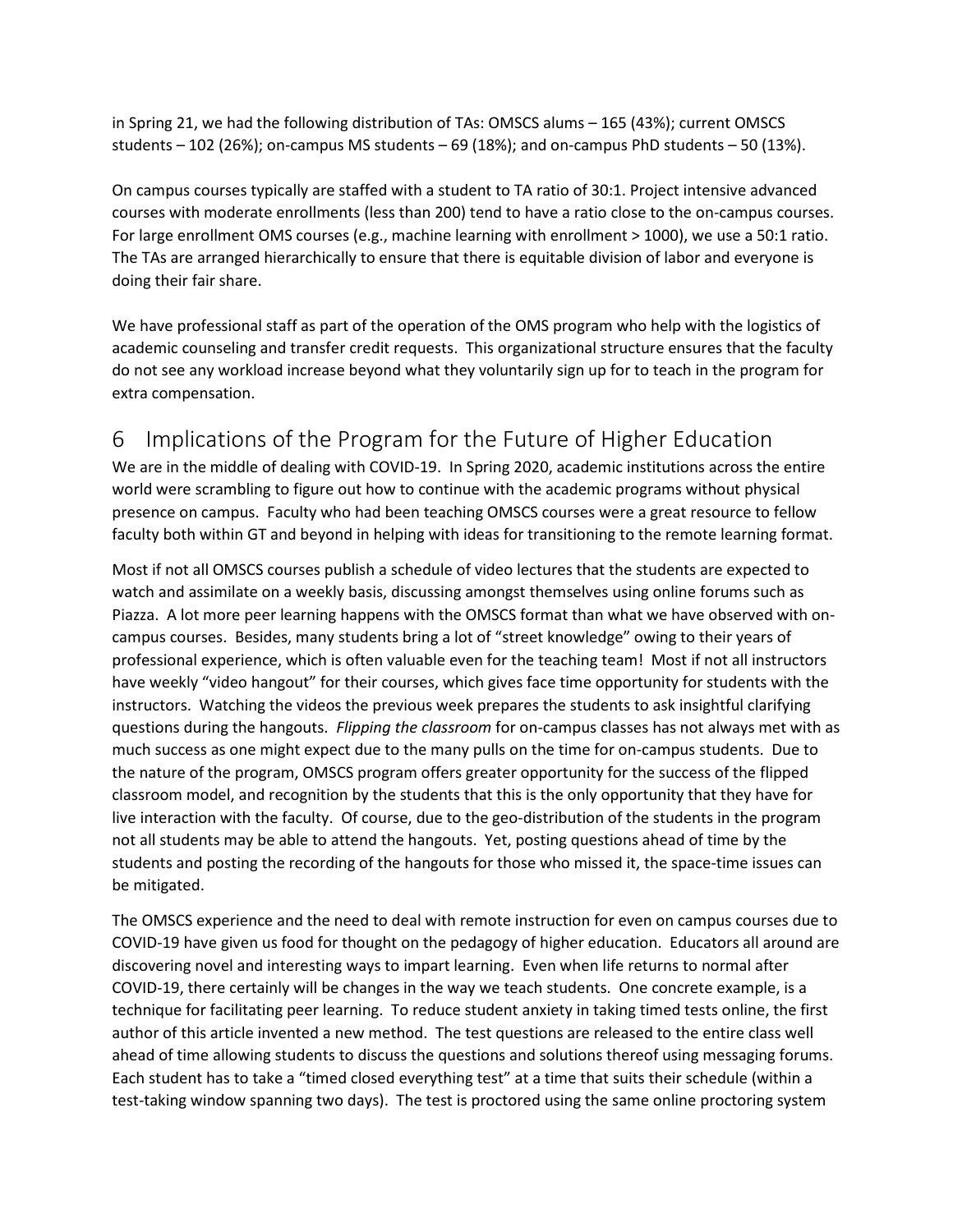in Spring 21, we had the following distribution of TAs: OMSCS alums – 165 (43%); current OMSCS students  $-102$  (26%); on-campus MS students  $-69$  (18%); and on-campus PhD students  $-50$  (13%).

On campus courses typically are staffed with a student to TA ratio of 30:1. Project intensive advanced courses with moderate enrollments (less than 200) tend to have a ratio close to the on-campus courses. For large enrollment OMS courses (e.g., machine learning with enrollment > 1000), we use a 50:1 ratio. The TAs are arranged hierarchically to ensure that there is equitable division of labor and everyone is doing their fair share.

We have professional staff as part of the operation of the OMS program who help with the logistics of academic counseling and transfer credit requests. This organizational structure ensures that the faculty do not see any workload increase beyond what they voluntarily sign up for to teach in the program for extra compensation.

# 6 Implications of the Program for the Future of Higher Education

We are in the middle of dealing with COVID-19. In Spring 2020, academic institutions across the entire world were scrambling to figure out how to continue with the academic programs without physical presence on campus. Faculty who had been teaching OMSCS courses were a great resource to fellow faculty both within GT and beyond in helping with ideas for transitioning to the remote learning format.

Most if not all OMSCS courses publish a schedule of video lectures that the students are expected to watch and assimilate on a weekly basis, discussing amongst themselves using online forums such as Piazza. A lot more peer learning happens with the OMSCS format than what we have observed with oncampus courses. Besides, many students bring a lot of "street knowledge" owing to their years of professional experience, which is often valuable even for the teaching team! Most if not all instructors have weekly "video hangout" for their courses, which gives face time opportunity for students with the instructors. Watching the videos the previous week prepares the students to ask insightful clarifying questions during the hangouts. *Flipping the classroom* for on-campus classes has not always met with as much success as one might expect due to the many pulls on the time for on-campus students. Due to the nature of the program, OMSCS program offers greater opportunity for the success of the flipped classroom model, and recognition by the students that this is the only opportunity that they have for live interaction with the faculty. Of course, due to the geo-distribution of the students in the program not all students may be able to attend the hangouts. Yet, posting questions ahead of time by the students and posting the recording of the hangouts for those who missed it, the space-time issues can be mitigated.

The OMSCS experience and the need to deal with remote instruction for even on campus courses due to COVID-19 have given us food for thought on the pedagogy of higher education. Educators all around are discovering novel and interesting ways to impart learning. Even when life returns to normal after COVID-19, there certainly will be changes in the way we teach students. One concrete example, is a technique for facilitating peer learning. To reduce student anxiety in taking timed tests online, the first author of this article invented a new method. The test questions are released to the entire class well ahead of time allowing students to discuss the questions and solutions thereof using messaging forums. Each student has to take a "timed closed everything test" at a time that suits their schedule (within a test-taking window spanning two days). The test is proctored using the same online proctoring system